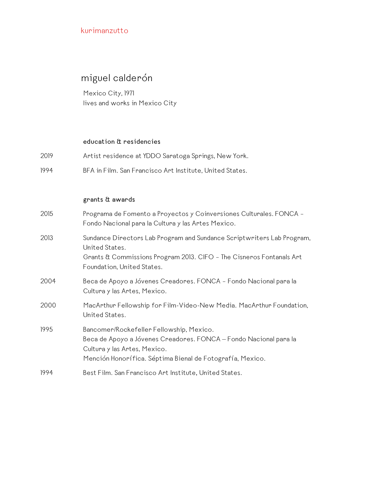# miguel calderón

Mexico City, 1971 lives and works in Mexico City

#### **education & residencies**

2019 Artist residence at YDDO Saratoga Springs, New York. 1994 BFA in Film. San Francisco Art Institute, United States.

### **grants & awards**

| 2015 | Programa de Fomento a Proyectos y Coinversiones Culturales. FONCA -<br>Fondo Nacional para la Cultura y las Artes Mexico.                                                                                  |
|------|------------------------------------------------------------------------------------------------------------------------------------------------------------------------------------------------------------|
| 2013 | Sundance Directors Lab Program and Sundance Scriptwriters Lab Program,<br>United States.<br>Grants & Commissions Program 2013. CIFO - The Cisneros Fontanals Art<br>Foundation, United States.             |
| 2004 | Beca de Apoyo a Jóvenes Creadores. FONCA - Fondo Nacional para la<br>Cultura y las Artes, Mexico.                                                                                                          |
| 2000 | MacArthur Fellowship for Film-Video-New Media. MacArthur Foundation,<br>United States.                                                                                                                     |
| 1995 | Bancomer/Rockefeller Fellowship, Mexico.<br>Beca de Apoyo a Jóvenes Creadores. FONCA - Fondo Nacional para la<br>Cultura y las Artes, Mexico.<br>Mención Honorífica. Séptima Bienal de Fotografía, Mexico. |
| 1994 | Best Film. San Francisco Art Institute, United States.                                                                                                                                                     |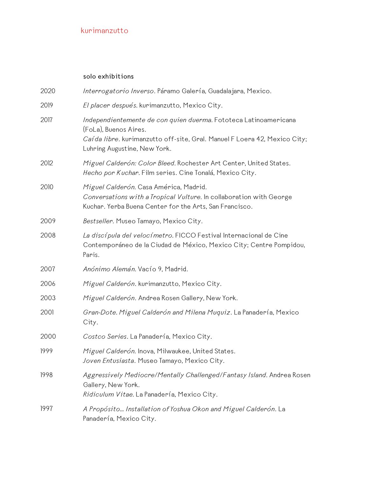### **solo exhibitions**

| 2020 | Interrogatorio Inverso. Páramo Galería, Guadalajara, Mexico.                                                                                                                                            |
|------|---------------------------------------------------------------------------------------------------------------------------------------------------------------------------------------------------------|
| 2019 | El placer después. kurimanzutto, Mexico City.                                                                                                                                                           |
| 2017 | Independientemente de con quien duerma. Fototeca Latinoamericana<br>(FoLa), Buenos Aires.<br>Caí da libre. kurimanzutto off-site, Gral. Manuel F Loera 42, Mexico City;<br>Luhring Augustine, New York. |
| 2012 | Miguel Calderón: Color Bleed. Rochester Art Center, United States.<br>Hecho por Kuchar. Film series. Cine Tonalá, Mexico City.                                                                          |
| 2010 | Miguel Calderón. Casa América, Madrid.<br>Conversations with a Tropical Vulture. In collaboration with George<br>Kuchar. Yerba Buena Center for the Arts, San Francisco.                                |
| 2009 | Bestseller. Museo Tamayo, Mexico City.                                                                                                                                                                  |
| 2008 | La discípula del velocímetro. FICCO Festival Internacional de Cine<br>Contemporáneo de la Ciudad de México, Mexico City; Centre Pompidou,<br>Paris.                                                     |
| 2007 | Anónimo Alemán. Vacío 9, Madrid.                                                                                                                                                                        |
| 2006 | Miguel Calderón. kurimanzutto, Mexico City.                                                                                                                                                             |
| 2003 | Miguel Calderón. Andrea Rosen Gallery, New York.                                                                                                                                                        |
| 2001 | Gran-Dote. Miguel Calderón and Milena Muquiz. La Panadería, Mexico<br>City.                                                                                                                             |
| 2000 | Costco Series. La Panadería, Mexico City.                                                                                                                                                               |
| 1999 | Miguel Calderón. Inova, Milwaukee, United States.<br>Joven Entusiasta. Museo Tamayo, Mexico City.                                                                                                       |
| 1998 | Aggressively Mediocre/Mentally Challenged/Fantasy Island. Andrea Rosen<br>Gallery, New York.<br>Ridiculum Vitae. La Panadería, Mexico City.                                                             |
| 1997 | A Propósito Installation of Yoshua Okon and Miguel Calderón. La<br>Panadería, Mexico City.                                                                                                              |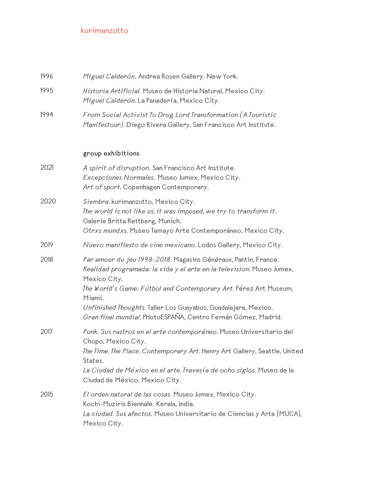| 1996 | Miguel Calderón. Andrea Rosen Gallery. New York.                                                                                                                                                                                                                                                                                                                         |
|------|--------------------------------------------------------------------------------------------------------------------------------------------------------------------------------------------------------------------------------------------------------------------------------------------------------------------------------------------------------------------------|
| 1995 | Historia Artificial. Museo de Historia Natural, Mexico City.<br>Miguel Calderón. La Panadería, Mexico City.                                                                                                                                                                                                                                                              |
| 1994 | From Social Activist To Drug Lord Transformation (A Touristic<br>Manifestour). Diego Rivera Gallery, San Francisco Art Institute.                                                                                                                                                                                                                                        |
|      | group exhibitions                                                                                                                                                                                                                                                                                                                                                        |
| 2021 | A spirit of disruption. San Francisco Art Institute.<br>Excepciones Normales. Museo Jumex, Mexico City.<br>Art of sport. Copenhagen Contemporary.                                                                                                                                                                                                                        |
| 2020 | Siembra. kurimanzutto, Mexico City.<br>The world is not like us, it was imposed, we try to transform it.<br>Galerie Britta Rettberg, Munich.<br>Otrxs mundxs. Museo Tamayo Arte Contemporáneo, Mexico City.                                                                                                                                                              |
| 2019 | Nuevo manifiesto de cine mexicano. Lodos Gallery, Mexico City.                                                                                                                                                                                                                                                                                                           |
| 2018 | Par amour du jeu 1998-2018. Magasins Généraux, Pantin, France.<br>Realidad programada: la vida y el arte en la television. Museo Jumex,<br>Mexico City.<br>The World's Game: Fútbol and Contemporary Art. Pérez Art Museum,<br>Miami.<br>Unfinished Thoughts. Taller Los Guayabos, Guadalajara, Mexico.<br>Gran final mundial. PHotoESPAÑA, Centro Fernán Gómez, Madrid. |
| 2017 | Punk. Sus rastros en el arte contemporáneo. Museo Universitario del<br>Chopo, Mexico City.<br>The Time. The Place. Contemporary Art. Henry Art Gallery, Seattle, United<br>States.<br>La Ciudad de México en el arte. Travesía de ocho siglos. Museo de la<br>Ciudad de México, Mexico City.                                                                             |
| 2015 | El orden natural de las cosas. Museo Jumex, Mexico City.<br>Kochi-Muziris Biennale. Kerala, India.<br>La ciudad. Sus afectos. Museo Universitario de Ciencias y Arte (MUCA),<br>Mexico City.                                                                                                                                                                             |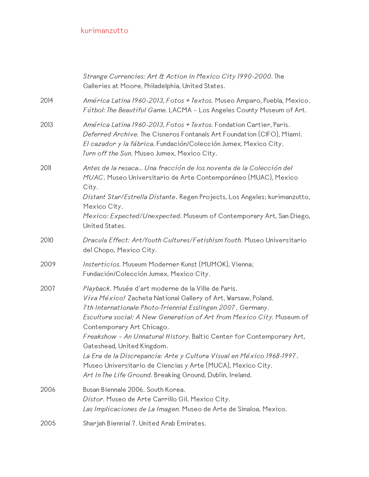|      | Strange Currencies: Art & Action in Mexico City 1990-2000. The<br>Galleries at Moore, Philadelphia, United States.                                                                                                                                                                                                                                                                                                                                                                                                                       |
|------|------------------------------------------------------------------------------------------------------------------------------------------------------------------------------------------------------------------------------------------------------------------------------------------------------------------------------------------------------------------------------------------------------------------------------------------------------------------------------------------------------------------------------------------|
| 2014 | América Latina 1960-2013, Fotos + Textos. Museo Amparo, Puebla, Mexico.<br>Fútbol: The Beautiful Game. LACMA - Los Angeles County Museum of Art.                                                                                                                                                                                                                                                                                                                                                                                         |
| 2013 | América Latina 1960-2013, Fotos + Textos. Fondation Cartier, Paris.<br>Deferred Archive. The Cisneros Fontanals Art Foundation (CIFO), Miami.<br>El cazador y la fábrica. Fundación/Colección Jumex, Mexico City.<br>Turn off the Sun. Museo Jumex, Mexico City.                                                                                                                                                                                                                                                                         |
| 2011 | Antes de la resaca Una fracción de los noventa de la Colección del<br>MUAC. Museo Universitario de Arte Contemporáneo (MUAC), Mexico<br>City.<br>Distant Star/Estrella Distante. Regen Projects, Los Angeles; kurimanzutto,<br>Mexico City.<br>Mexico: Expected/Unexpected. Museum of Contemporary Art, San Diego,                                                                                                                                                                                                                       |
|      | United States.                                                                                                                                                                                                                                                                                                                                                                                                                                                                                                                           |
| 2010 | Dracula Effect: Art/Youth Cultures/Fetishism Youth. Museo Universitario<br>del Chopo, Mexico City.                                                                                                                                                                                                                                                                                                                                                                                                                                       |
| 2009 | Insterticios. Museum Moderner Kunst (MUMOK), Vienna;<br>Fundación/Colección Jumex, Mexico City.                                                                                                                                                                                                                                                                                                                                                                                                                                          |
| 2007 | Playback. Musée d'art moderne de la Ville de Paris.<br>Viva México! Zacheta National Gallery of Art, Warsaw, Poland.<br>7th Internationale Photo-Triennial Esslingen 2007. Germany.<br>Escultura social: A New Generation of Art from Mexico City. Museum of<br>Contemporary Art Chicago.<br>Freakshow - An Unnatural History. Baltic Center for Contemporary Art,<br>Gateshead, United Kingdom.<br>La Era de la Discrepancia: Arte y Cultura Visual en México 1968-1997.<br>Museo Universitario de Ciencias y Arte (MUCA), Mexico City. |
|      | Art In The Life Ground. Breaking Ground, Dublin, Ireland.                                                                                                                                                                                                                                                                                                                                                                                                                                                                                |
| 2006 | Busan Biennale 2006. South Korea.<br>Distor. Museo de Arte Carrillo Gil, Mexico City.<br>Las Implicaciones de La Imagen. Museo de Arte de Sinaloa, Mexico.                                                                                                                                                                                                                                                                                                                                                                               |
| 2005 | Sharjah Biennial 7. United Arab Emirates.                                                                                                                                                                                                                                                                                                                                                                                                                                                                                                |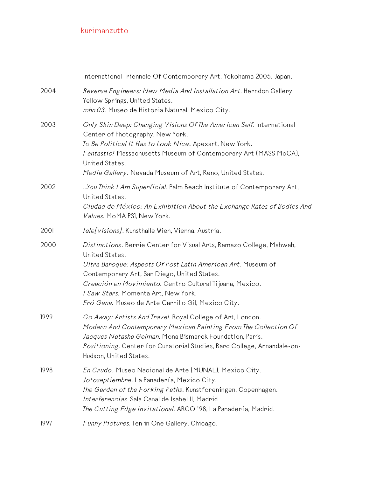|      | International Triennale Of Contemporary Art: Yokohama 2005. Japan.                                                                                                                                                                                                                                                                                             |
|------|----------------------------------------------------------------------------------------------------------------------------------------------------------------------------------------------------------------------------------------------------------------------------------------------------------------------------------------------------------------|
| 2004 | Reverse Engineers: New Media And Installation Art. Herndon Gallery,<br>Yellow Springs, United States.<br>mhn.03. Museo de Historia Natural, Mexico City.                                                                                                                                                                                                       |
| 2003 | Only Skin Deep: Changing Visions Of The American Self. International<br>Center of Photography, New York.<br>To Be Political It Has to Look Nice. Apexart, New York.<br>Fantastic! Massachusetts Museum of Contemporary Art (MASS MoCA),<br>United States.<br>Media Gallery. Nevada Museum of Art, Reno, United States.                                         |
| 2002 | You Think I Am Superficial. Palm Beach Institute of Contemporary Art,<br>United States.<br>Ciudad de México: An Exhibition About the Exchange Rates of Bodies And<br>Values. MoMA PSI, New York.                                                                                                                                                               |
| 2001 | Tele[visions]. Kunsthalle Wien, Vienna, Austria.                                                                                                                                                                                                                                                                                                               |
| 2000 | Distinctions. Berrie Center for Visual Arts, Ramazo College, Mahwah,<br>United States.<br>Ultra Baroque: Aspects Of Post Latin American Art. Museum of<br>Contemporary Art, San Diego, United States.<br>Creación en Movimiento. Centro Cultural Tijuana, Mexico.<br>I Saw Stars. Momenta Art, New York.<br>Eró Gena. Museo de Arte Carrillo Gil, Mexico City. |
| 1999 | Go Away: Artists And Travel. Royal College of Art, London.<br>Modern And Contemporary Mexican Painting From The Collection Of<br>Jacques Natasha Gelman. Mona Bismarck Foundation, Paris.<br>Positioning. Center for Curatorial Studies, Bard College, Annandale-on-<br>Hudson, United States.                                                                 |
| 1998 | En Crudo. Museo Nacional de Arte (MUNAL), Mexico City.<br>Jotoseptiembre. La Panadería, Mexico City.<br>The Garden of the Forking Paths. Kunstforeningen, Copenhagen.<br>Interferencias. Sala Canal de Isabel II, Madrid.<br>The Cutting Edge Invitational. ARCO '98, La Panadería, Madrid.                                                                    |
| 1997 | Funny Pictures. Ten in One Gallery, Chicago.                                                                                                                                                                                                                                                                                                                   |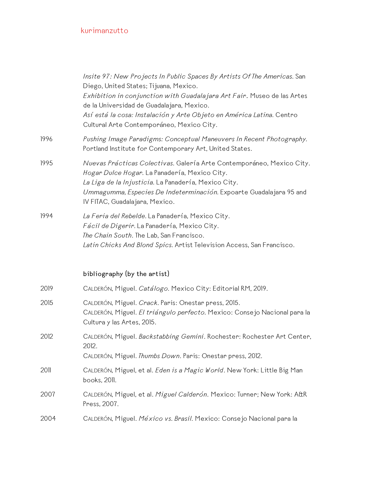|      | Insite 97: New Projects In Public Spaces By Artists Of The Americas. San<br>Diego, United States; Tijuana, Mexico.<br>Exhibition in conjunction with Guadalajara Art Fair. Museo de las Artes<br>de la Universidad de Guadalajara, Mexico.<br>Así está la cosa: Instalación y Arte Objeto en América Latina. Centro<br>Cultural Arte Contemporáneo, Mexico City. |
|------|------------------------------------------------------------------------------------------------------------------------------------------------------------------------------------------------------------------------------------------------------------------------------------------------------------------------------------------------------------------|
| 1996 | Pushing Image Paradigms: Conceptual Maneuvers In Recent Photography.<br>Portland Institute for Contemporary Art, United States.                                                                                                                                                                                                                                  |
| 1995 | Nuevas Prácticas Colectivas. Galería Arte Contemporáneo, Mexico City.<br>Hogar Dulce Hogar. La Panadería, Mexico City.<br>La Liga de la Injusticia. La Panadería, Mexico City.<br>Ummagumma, Especies De Indeterminación. Expoarte Guadalajara 95 and<br>IV FITAC, Guadalajara, Mexico.                                                                          |
| 1994 | La Feria del Rebelde. La Panadería, Mexico City.<br>Fácil de Digerir. La Panadería, Mexico City.<br>The Chain South. The Lab, San Francisco.<br>Latin Chicks And Blond Spics. Artist Television Access, San Francisco.                                                                                                                                           |
|      | bibliography (by the artist)                                                                                                                                                                                                                                                                                                                                     |
| 2019 | CALDERÓN, Miguel. Catálogo. Mexico City: Editorial RM, 2019.                                                                                                                                                                                                                                                                                                     |
| 2015 | CALDERÓN, Miguel. Crack. Paris: Onestar press, 2015.<br>CALDERÓN, Miguel. El triángulo perfecto. Mexico: Consejo Nacional para la<br>Cultura y las Artes, 2015.                                                                                                                                                                                                  |
| 2012 | CALDERÓN, Miguel. Backstabbing Gemini. Rochester: Rochester Art Center,<br>2012.<br>CALDERÓN, Miguel. Thumbs Down. Paris: Onestar press, 2012.                                                                                                                                                                                                                   |
| 2011 | CALDERÓN, Miguel, et al. Eden is a Magic World. New York: Little Big Man<br>books, 2011.                                                                                                                                                                                                                                                                         |
| 2007 | CALDERÓN, Miguel, et al. Miguel Calderón. Mexico: Turner; New York: A&R<br>Press, 2007.                                                                                                                                                                                                                                                                          |
| 2004 | CALDERÓN, Miguel. México vs. Brasil. Mexico: Consejo Nacional para la                                                                                                                                                                                                                                                                                            |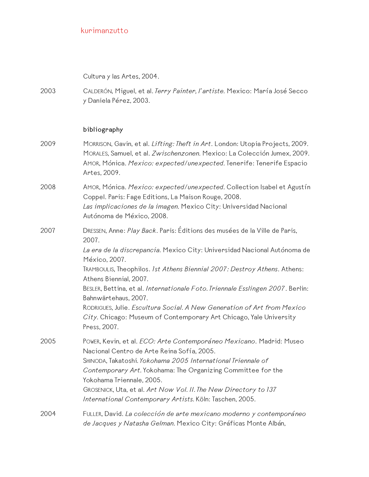Cultura y las Artes, 2004.

2003 CALDERÓN, Miguel, et al. *Terry Painter, l'artiste.* Mexico: María José Secco y Daniela Pérez, 2003.

#### **bibliography**

- 2009 MORRISON, Gavin, et al. *Lifting: Theft in Art*. London: Utopia Projects, 2009. MORALES, Samuel, et al. *Zwischenzonen.* Mexico: La Colección Jumex, 2009. AMOR, Mónica. *Mexico: expected/unexpected.* Tenerife: Tenerife Espacio Artes, 2009.
- 2008 AMOR, Mónica. *Mexico: expected/unexpected.* Collection Isabel et Agustín Coppel. Paris: Fage Editions, La Maison Rouge, 2008. *Las implicaciones de la imagen.* Mexico City: Universidad Nacional
	- Autónoma de México, 2008.
- 2007 DRESSEN, Anne: *Play Back*. Paris: Éditions des musées de la Ville de Paris, 2007.

*La era de la discrepancia.* Mexico City: Universidad Nacional Autónoma de México, 2007.

TRAMBOULIS, Theophilos. *1st Athens Biennial 2007: Destroy Athens*. Athens: Athens Biennial, 2007.

BESLER, Bettina, et al. *Internationale Foto. Triennale Esslingen 2007*. Berlin: Bahnwärtehaus, 2007.

RODRIGUES, Julie. *Escultura Social. A New Generation of Art from Mexico City.* Chicago: Museum of Contemporary Art Chicago, Yale University Press, 2007.

- 2005 POWER, Kevin, et al. *ECO: Arte Contemporáneo Mexicano*. Madrid: Museo Nacional Centro de Arte Reina Sofía, 2005. SHINODA, Takatoshi*. Yokohama 2005 International Triennale of Contemporary Art.* Yokohama: The Organizing Committee for the Yokohama Triennale, 2005. GROSENICK, Uta, et al. *Art Now Vol. II. The New Directory to 137 International Contemporary Artists.* Köln: Taschen, 2005.
- 2004 FULLER, David. *La colección de arte mexicano moderno y contemporáneo de Jacques y Natasha Gelman.* Mexico City: Gráficas Monte Albán,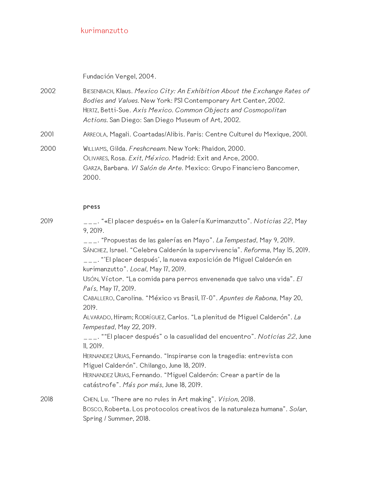Fundación Vergel, 2004.

- 2002 BIESENBACH, Klaus. *Mexico City: An Exhibition About the Exchange Rates of Bodies and Values.* New York: PS1 Contemporary Art Center, 2002. HERTZ, Betti-Sue. *Axis Mexico. Common Objects and Cosmopolitan Actions.* San Diego: San Diego Museum of Art, 2002.
- 2001 ARREOLA, Magali. Coartadas/Alibis. Paris: Centre Culturel du Mexique, 2001.
- 2000 WILLIAMS, Gilda. *Freshcream.* New York: Phaidon, 2000. OLIVARES, Rosa. *Exit, México.* Madrid: Exit and Arce, 2000. GARZA, Barbara. *VI Salón de Arte.* Mexico: Grupo Financiero Bancomer, 2000.

#### **press**

2019 \_\_\_. "«El placer después» en la Galería Kurimanzutto". *Noticias 22*, May 9, 2019.

\_\_\_. "Propuestas de las galerías en Mayo". *La Tempestad*, May 9, 2019. SÁNCHEZ, Israel. "Celebra Calderón la supervivencia". *Reforma*, May 15, 2019.

\_\_\_. "'El placer después', la nueva exposición de Miguel Calderón en kurimanzutto". *Local*, May 17, 2019.

USÓN, Víctor. "La comida para perros envenenada que salvo una vida". *El País*, May 17, 2019.

CABALLERO, Carolina. "México vs Brasil, 17-0". *Apuntes de Rabona*, May 20, 2019.

ALVARADO, Hiram; RODRÍGUEZ, Carlos. "La plenitud de Miguel Calderón". *La Tempestad*, May 22, 2019.

\_\_\_. ""El placer después" o la casualidad del encuentro". *Noticias 22*, June 11, 2019.

HERNANDEZ URIAS, Fernando. "Inspirarse con la tragedia: entrevista con Miguel Calderón". Chilango, June 18, 2019.

HERNANDEZ URIAS, Fernando. "Miguel Calderón: Crear a partir de la catástrofe". *Más por más*, June 18, 2019.

2018 CHEN, Lu. "There are no rules in Art making". *Vision*, 2018. BOSCO, Roberta. Los protocolos creativos de la naturaleza humana". *Solar*, Spring / Summer, 2018.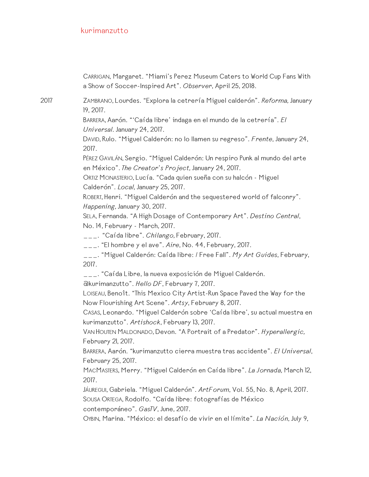CARRIGAN, Margaret. "Miami's Perez Museum Caters to World Cup Fans With a Show of Soccer-Inspired Art". *Observer*, April 25, 2018.

2017 ZAMBRANO, Lourdes. "Explora la cetrería Miguel calderón". *Reforma,* January 19, 2017.

> BARRERA, Aarón. "'Caída libre' indaga en el mundo de la cetrería". *El Universal.* January 24, 2017.

DAVID, Rulo. "Miguel Calderón: no lo llamen su regreso". *Frente*, January 24, 2017.

PÉREZ GAVILÁN, Sergio. "Miguel Calderón: Un respiro Punk al mundo del arte en México". *The Creator's Project,* January 24, 2017.

ORTIZ MONASTERIO, Lucía. "Cada quien sueña con su halcón - Miguel Calderón". *Local,* January 25, 2017.

ROBERT, Henri. "Miguel Calderón and the sequestered world of falconry". *Happening,* January 30, 2017.

SELA, Fernanda. "A High Dosage of Contemporary Art". *Destino Central*, No. 14, February - March, 2017.

\_\_\_. "Caída libre". *Chilango,* February, 2017.

\_\_\_. "El hombre y el ave". *Aire*, No. 44, February, 2017.

\_\_\_. "Miguel Calderón: Caída libre: / Free Fall". *My Art Guides*, February, 2017.

\_\_\_. "Caída Libre, la nueva exposición de Miguel Calderón.

@kurimanzutto". *Hello DF*, February 7, 2017.

LOISEAU, Benoît. "This Mexico City Artist-Run Space Paved the Way for the Now Flourishing Art Scene". *Artsy*, February 8, 2017.

CASAS, Leonardo. "Miguel Calderón sobre 'Caída libre', su actual muestra en kurimanzutto". *Artishock*, February 13, 2017.

VAN HOUTEN MALDONADO, Devon. "A Portrait of a Predator". *Hyperallergic,* February 21, 2017.

BARRERA, Aarón. "kurimanzutto cierra muestra tras accidente". *El Universal*, February 25, 2017.

MACMASTERS, Merry. "Miguel Calderón en Caída libre". *La Jornada,* March 12, 2017.

JÁUREGUI, Gabriela. "Miguel Calderón". *ArtForum*, Vol. 55, No. 8, April, 2017. SOUSA ORTEGA, Rodolfo. "Caída libre: fotografías de México contemporáneo". *GasTV*, June, 2017.

OYBIN, Marina. "México: el desafío de vivir en el límite". *La Nación*, July 9,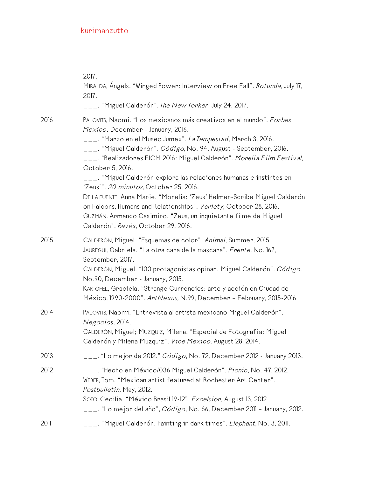|      | 2017.<br>MIRALDA, Ángels. "Winged Power: Interview on Free Fall". Rotunda, July 17,<br>2017.<br>___. "Miguel Calderón". The New Yorker, July 24, 2017.                                                                                                                                                                                                                                                                                                                                                                                                                                                                                                                                                                                |
|------|---------------------------------------------------------------------------------------------------------------------------------------------------------------------------------------------------------------------------------------------------------------------------------------------------------------------------------------------------------------------------------------------------------------------------------------------------------------------------------------------------------------------------------------------------------------------------------------------------------------------------------------------------------------------------------------------------------------------------------------|
| 2016 | PALOVITS, Naomi. "Los mexicanos más creativos en el mundo". Forbes<br>Mexico. December - January, 2016.<br>___. "Marzo en el Museo Jumex". La Tempestad, March 3, 2016.<br>___. "Miguel Calderón". <i>Código</i> , No. 94, August - September, 2016.<br>___. "Realizadores FICM 2016: Miguel Calderón". <i>Morelia Film Festival,</i><br>October 5, 2016.<br>___. "Miguel Calderón explora las relaciones humanas e instintos en<br>'Zeus'". 20 minutos, October 25, 2016.<br>DE LA FUENTE, Anna Marie. "Morelia: 'Zeus' Helmer-Scribe Miguel Calderón<br>on Falcons, Humans and Relationships". Variety, October 28, 2016.<br>GUZMÁN, Armando Casimiro. "Zeus, un inquietante filme de Miguel<br>Calderón". Revés, October 29, 2016. |
| 2015 | CALDERÓN, Miguel. "Esquemas de color". Animal, Summer, 2015.<br>JAUREGUI, Gabriela. "La otra cara de la mascara". Frente, No. 167,<br>September, 2017.<br>CALDERÓN, Miguel. "100 protagonistas opinan. Miguel Calderón". Código,<br>No.90, December - January, 2015.<br>KARTOFEL, Graciela. "Strange Currencies: arte y acción en Ciudad de<br>México, 1990-2000". ArtNexus, N.99, December - February, 2015-2016                                                                                                                                                                                                                                                                                                                     |
| 2014 | PALOVITS, Naomi. "Entrevista al artista mexicano Miguel Calderón".<br>Negocios, 2014.<br>CALDERÓN, Miguel; MUZQUIZ, Milena. "Especial de Fotografía: Miguel<br>Calderón y Milena Muzquiz". Vice Mexico, August 28, 2014.                                                                                                                                                                                                                                                                                                                                                                                                                                                                                                              |
| 2013 | $_{---}$ . "Lo mejor de 2012." <i>Código</i> , No. 72, December 2012 - January 2013.                                                                                                                                                                                                                                                                                                                                                                                                                                                                                                                                                                                                                                                  |
| 2012 | ___. "Hecho en México/036 Miguel Calderón". <i>Picnic</i> , No. 47, 2012.<br>WEBER, Tom. "Mexican artist featured at Rochester Art Center".<br>Postbulletin, May, 2012.<br>SOTO, Cecilia. "México Brasil 19-12". Excelsior, August 13, 2012.<br>___. "Lo mejor del año", <i>Código</i> , No. 66, December 2011 - January, 2012.                                                                                                                                                                                                                                                                                                                                                                                                       |
| 2011 | ___. "Miguel Calderón. Painting in dark times". <i>Elephant,</i> No. 3, 2011.                                                                                                                                                                                                                                                                                                                                                                                                                                                                                                                                                                                                                                                         |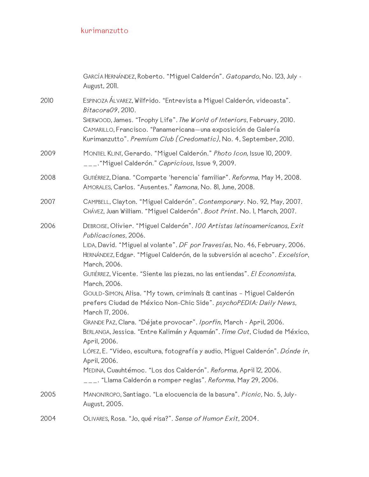|      | GARCÍA HERNÁNDEZ, Roberto. "Miguel Calderón". Gatopardo, No. 123, July -<br>August, 2011.                                                                                  |
|------|----------------------------------------------------------------------------------------------------------------------------------------------------------------------------|
| 2010 | ESPINOZA ÁLVAREZ, Wilfrido. "Entrevista a Miguel Calderón, videoasta".<br>Bitacora09, 2010.<br>SHERWOOD, James. "Trophy Life". The World of Interiors, February, 2010.     |
|      | CAMARILLO, Francisco. "Panamericana-una exposición de Galería<br>Kurimanzutto". Premium Club (Credomatic), No. 4, September, 2010.                                         |
| 2009 | MONTIEL KLINT, Gerardo. "Miguel Calderón." Photo Icon, Issue 10, 2009.<br>___. "Miguel Calderón." Capricious, Issue 9, 2009.                                               |
| 2008 | GUTIÉRREZ, Diana. "Comparte 'herencia' familiar". Reforma, May 14, 2008.<br>AMORALES, Carlos. "Ausentes." Ramona, No. 81, June, 2008.                                      |
| 2007 | CAMPBELL, Clayton. "Miguel Calderón". Contemporary. No. 92, May, 2007.<br>CHÁVEZ, Juan William. "Miguel Calderón". Boot Print. No. I, March, 2007.                         |
| 2006 | DEBROISE, Olivier. "Miguel Calderón". 100 Artistas latinoamericanos, Exit<br>Publicaciones, 2006.                                                                          |
|      | LIDA, David. "Miguel al volante". DF por Travesías, No. 46, February, 2006.<br>HERNÁNDEZ, Edgar. "Miguel Calderón, de la subversión al acecho". Excelsior,<br>March, 2006. |
|      | GUTIÉRREZ, Vicente. "Siente las piezas, no las entiendas". El Economista,<br>March, 2006.                                                                                  |
|      | GOULD-SIMON, Alisa. "My town, criminals & cantinas - Miguel Calderón<br>prefers Ciudad de México Non-Chic Side". psychoPEDIA: Daily News,<br>March 17, 2006.               |
|      | GRANDE PAZ, Clara. "Déjate provocar". Iporfin, March - April, 2006.                                                                                                        |
|      | BERLANGA, Jessica. "Entre Kalimán y Aquamán". Time Out, Ciudad de México,<br>April, 2006.                                                                                  |
|      | LÓPEZ, E. "Video, escultura, fotografía y audio, Miguel Calderón". Dónde ir,<br>April, 2006.                                                                               |
|      | MEDINA, Cuauhtémoc. "Los dos Calderón". Reforma, April 12, 2006.<br>___. "Llama Calderón a romper reglas". <i>Reforma</i> , May 29, 2006.                                  |
| 2005 | MANONTROPO, Santiago. "La elocuencia de la basura". Picnic, No. 5, July-<br>August, 2005.                                                                                  |
| 2004 | OLIVARES, Rosa. "Jo, qué risa?". Sense of Humor Exit, 2004.                                                                                                                |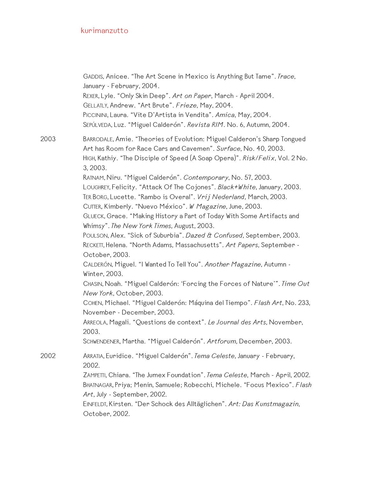|      | GADDIS, Anicee. "The Art Scene in Mexico is Anything But Tame". Trace,<br>January - February, 2004.<br>REXER, Lyle. "Only Skin Deep". Art on Paper, March - April 2004.<br>GELLATLY, Andrew. "Art Brute". Frieze, May, 2004.<br>PICCININI, Laura. "Vite D'Artista in Vendita". Amica, May, 2004.<br>SEPÚLVEDA, Luz. "Miguel Calderón". Revista RIM. No. 6, Autumn, 2004. |
|------|--------------------------------------------------------------------------------------------------------------------------------------------------------------------------------------------------------------------------------------------------------------------------------------------------------------------------------------------------------------------------|
| 2003 | BARRODALE, Amie. "Theories of Evolution: Miguel Calderon's Sharp Tongued<br>Art has Room for Race Cars and Cavemen". Surface, No. 40, 2003.<br>HIGH, Kathiy. "The Disciple of Speed (A Soap Opera)". Risk/Felix, Vol. 2 No.<br>3, 2003.                                                                                                                                  |
|      | RATNAM, Niru. "Miguel Calderón". Contemporary, No. 57, 2003.<br>LOUGHREY, Felicity. "Attack Of The Cojones". Black+White, January, 2003.<br>TER BORG, Lucette. "Rambo is Overal". Vrij Nederland, March, 2003.<br>CUTTER, Kimberly. "Nuevo México". W Magazine, June, 2003.                                                                                              |
|      | GLUECK, Grace. "Making History a Part of Today With Some Artifacts and<br>Whimsy". The New York Times, August, 2003.                                                                                                                                                                                                                                                     |
|      | POULSON, Alex. "Sick of Suburbia". Dazed & Confused, September, 2003.<br>RECKETT, Helena. "North Adams, Massachusetts". Art Papers, September -<br>October, 2003.                                                                                                                                                                                                        |
|      | CALDERÓN, Miguel. "I Wanted To Tell You". Another Magazine, Autumn -<br>Winter, 2003.                                                                                                                                                                                                                                                                                    |
|      | CHASIN, Noah. "Miguel Calderón: 'Forcing the Forces of Nature'". Time Out<br>New York, October, 2003.                                                                                                                                                                                                                                                                    |
|      | COHEN, Michael. "Miguel Calderón: Máquina del Tiempo". Flash Art, No. 233,<br>November - December, 2003.                                                                                                                                                                                                                                                                 |
|      | ARREOLA, Magali. "Questions de context". Le Journal des Arts, November,<br>2003.                                                                                                                                                                                                                                                                                         |
|      | SCHWENDENER, Martha. "Miguel Calderón". Artforum, December, 2003.                                                                                                                                                                                                                                                                                                        |
| 2002 | ARRATIA, Euridice. "Miguel Calderón". Tema Celeste, January - February,<br>2002.                                                                                                                                                                                                                                                                                         |
|      | ZAMPETTI, Chiara. "The Jumex Foundation". Tema Celeste, March - April, 2002.<br>BHATNAGAR, Priya; Menin, Samuele; Robecchi, Michele. "Focus Mexico". Flash<br>Art, July - September, 2002.                                                                                                                                                                               |
|      | EINFELDT, Kirsten. "Der Schock des Alltäglichen". Art: Das Kunstmagazin,<br>October, 2002.                                                                                                                                                                                                                                                                               |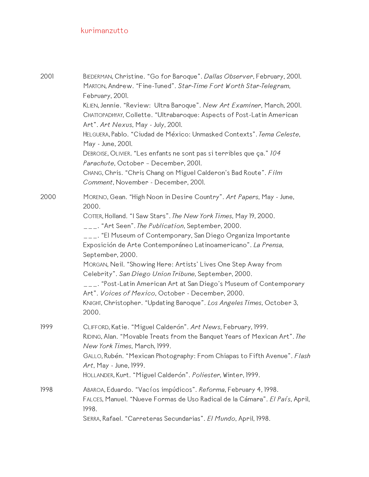| 2001 | BIEDERMAN, Christine. "Go for Baroque". Dallas Observer, February, 2001.<br>MARTON, Andrew. "Fine-Tuned". Star-Time Fort Worth Star-Telegram,<br>February, 2001.<br>KLIEN, Jennie. "Review: Ultra Baroque". New Art Examiner, March, 2001.<br>CHATTOPADHYAY, Collette. "Ultrabaroque: Aspects of Post-Latin American<br>Art". Art Nexus, May - July, 2001.<br>HELGUERA, Pablo. "Ciudad de México: Unmasked Contexts". Tema Celeste,<br>May - June, 2001.<br>DEBROISE, OLIVIER. "Les enfants ne sont pas si terribles que ça." 104<br>Parachute, October - December, 2001.<br>CHANG, Chris. "Chris Chang on Miguel Calderon's Bad Route". Film<br>Comment, November - December, 2001.                      |
|------|-----------------------------------------------------------------------------------------------------------------------------------------------------------------------------------------------------------------------------------------------------------------------------------------------------------------------------------------------------------------------------------------------------------------------------------------------------------------------------------------------------------------------------------------------------------------------------------------------------------------------------------------------------------------------------------------------------------|
| 2000 | MORENO, Gean. "High Noon in Desire Country". Art Papers, May - June,<br>2000.<br>COTTER, Holland. "I Saw Stars". The New York Times, May 19, 2000.<br>___. "Art Seen". The Publication, September, 2000.<br>___. "El Museum of Contemporary, San Diego Organiza Importante<br>Exposición de Arte Contemporáneo Latinoamericano". La Prensa,<br>September, 2000.<br>MORGAN, Neil. "Showing Here: Artists' Lives One Step Away from<br>Celebrity". San Diego Union Tribune, September, 2000.<br>___. "Post-Latin American Art at San Diego's Museum of Contemporary<br>Art". Voices of Mexico, October - December, 2000.<br>KNIGHT, Christopher. "Updating Baroque". Los Angeles Times, October 3,<br>2000. |
| 1999 | CLIFFORD, Katie. "Miguel Calderón". Art News, February, 1999.<br>RIDING, Alan. "Movable Treats from the Banquet Years of Mexican Art". The<br>New York Times, March, 1999.<br>GALLO, Rubén. "Mexican Photography: From Chiapas to Fifth Avenue". Flash<br>Art, May - June, 1999.<br>HOLLANDER, Kurt. "Miguel Calderón". Poliester, Winter, 1999.                                                                                                                                                                                                                                                                                                                                                          |
| 1998 | ABAROA, Eduardo. "Vacíos impúdicos". Reforma, February 4, 1998.<br>FALCES, Manuel. "Nueve Formas de Uso Radical de la Cámara". El País, April,<br>1998.<br>SIERRA, Rafael. "Carreteras Secundarias". El Mundo, April, 1998.                                                                                                                                                                                                                                                                                                                                                                                                                                                                               |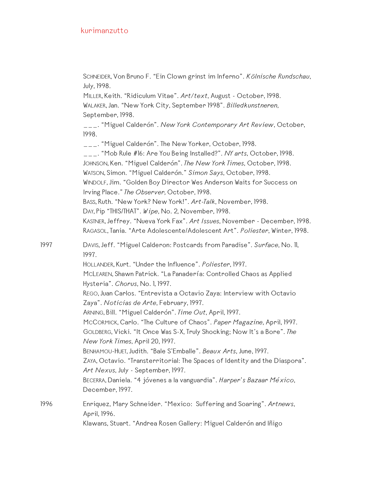SCHNEIDER, Von Bruno F. "Ein Clown grinst im Inferno". *Kölnische Rundschau*, July, 1998.

MILLER, Keith. "Ridiculum Vitae". *Art/text*, August - October, 1998. WALAKER, Jan. "New York City, September 1998". *Billedkunstneren*, September, 1998.

\_\_\_. "Miguel Calderón". *New York Contemporary Art Review*, October, 1998.

\_\_\_. "Miguel Calderón". The New Yorker, October, 1998.

\_\_\_. "Mob Rule #16: Are You Being Installed?". *NY arts*, October, 1998. JOHNSON, Ken. "Miguel Calderón". *The New York Times*, October, 1998. WATSON, Simon. "Miguel Calderón." *Simon Says*, October, 1998. WINDOLF, Jim. "Golden Boy Director Wes Anderson Waits for Success on Irving Place." *The Observer,* October, 1998. BASS, Ruth. "New York? New York!". *Art-Talk*, November, 1998. DAY, Pip "THIS/THAT". *Wipe*, No. 2, November, 1998. KASTNER, Jeffrey. "Nueva York Fax". *Art Issues*, November - December, 1998. RAGASOL, Tania. "Arte Adolescente/Adolescent Art". *Poliester*, Winter, 1998.

1997 DAVIS, Jeff. "Miguel Calderon: Postcards from Paradise". *Surface*, No. 11, 1997.

HOLLANDER, Kurt. "Under the Influence". *Poliester*, 1997.

MCLEAREN, Shawn Patrick. "La Panadería: Controlled Chaos as Applied Hysteria". *Chorus*, No. 1, 1997.

REGO, Juan Carlos. "Entrevista a Octavio Zaya: Interview with Octavio Zaya". *Noticias de Arte*, February, 1997.

ARNING, Bill. "Miguel Calderón". *Time Out*, April, 1997.

MCCORMICK, Carlo. "The Culture of Chaos". *Paper Magazine*, April, 1997. GOLDBERG, Vicki. "It Once Was S-X, Truly Shocking; Now It's a Bore". *The New York Times*, April 20, 1997.

BENHAMOU-HUET, Judith. "Bale S'Emballe". *Beaux Arts*, June, 1997.

ZAYA, Octavio. "Transterritorial: The Spaces of Identity and the Diaspora". *Art Nexus*, July - September, 1997.

BECERRA, Daniela. "4 jóvenes a la vanguardia". *Harper's Bazaar México*, December, 1997.

1996 Enriquez, Mary Schneider. "Mexico: Suffering and Soaring". *Artnews*, April, 1996.

Klawans, Stuart. "Andrea Rosen Gallery: Miguel Calderón and Iñigo